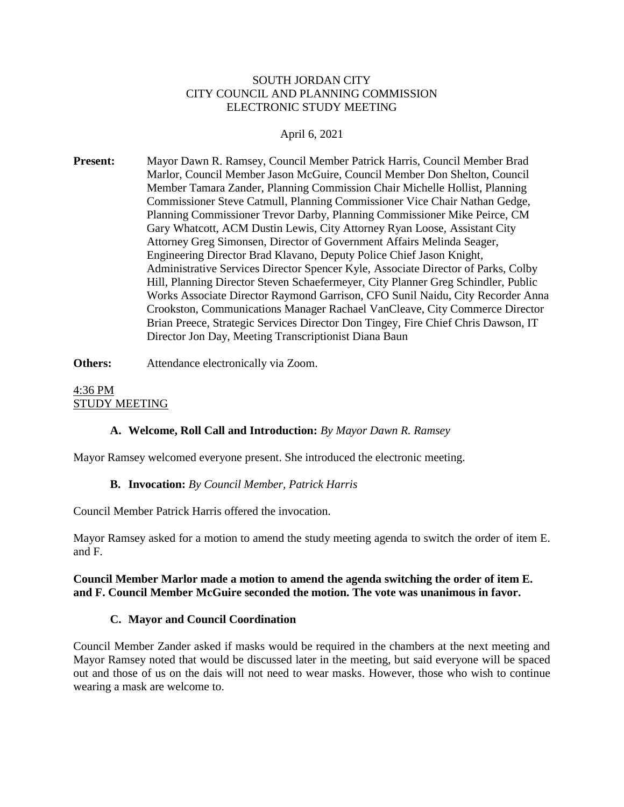#### SOUTH JORDAN CITY CITY COUNCIL AND PLANNING COMMISSION ELECTRONIC STUDY MEETING

### April 6, 2021

**Present:** Mayor Dawn R. Ramsey, Council Member Patrick Harris, Council Member Brad Marlor, Council Member Jason McGuire, Council Member Don Shelton, Council Member Tamara Zander, Planning Commission Chair Michelle Hollist, Planning Commissioner Steve Catmull, Planning Commissioner Vice Chair Nathan Gedge, Planning Commissioner Trevor Darby, Planning Commissioner Mike Peirce, CM Gary Whatcott, ACM Dustin Lewis, City Attorney Ryan Loose, Assistant City Attorney Greg Simonsen, Director of Government Affairs Melinda Seager, Engineering Director Brad Klavano, Deputy Police Chief Jason Knight, Administrative Services Director Spencer Kyle, Associate Director of Parks, Colby Hill, Planning Director Steven Schaefermeyer, City Planner Greg Schindler, Public Works Associate Director Raymond Garrison, CFO Sunil Naidu, City Recorder Anna Crookston, Communications Manager Rachael VanCleave, City Commerce Director Brian Preece, Strategic Services Director Don Tingey, Fire Chief Chris Dawson, IT Director Jon Day, Meeting Transcriptionist Diana Baun

#### **Others:** Attendance electronically via Zoom.

### 4:36 PM STUDY MEETING

#### **A. Welcome, Roll Call and Introduction:** *By Mayor Dawn R. Ramsey*

Mayor Ramsey welcomed everyone present. She introduced the electronic meeting.

### **B. Invocation:** *By Council Member, Patrick Harris*

Council Member Patrick Harris offered the invocation.

Mayor Ramsey asked for a motion to amend the study meeting agenda to switch the order of item E. and F.

#### **Council Member Marlor made a motion to amend the agenda switching the order of item E. and F. Council Member McGuire seconded the motion. The vote was unanimous in favor.**

### **C. Mayor and Council Coordination**

Council Member Zander asked if masks would be required in the chambers at the next meeting and Mayor Ramsey noted that would be discussed later in the meeting, but said everyone will be spaced out and those of us on the dais will not need to wear masks. However, those who wish to continue wearing a mask are welcome to.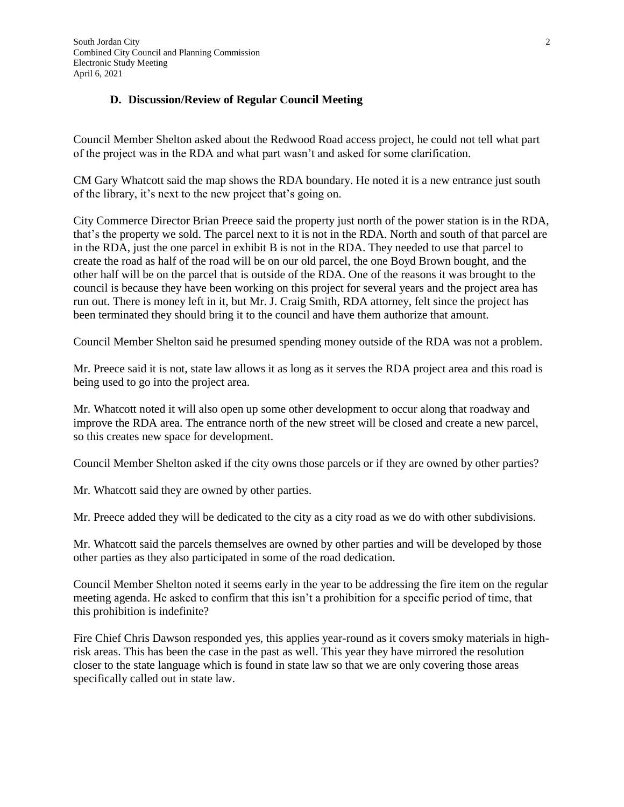#### **D. Discussion/Review of Regular Council Meeting**

Council Member Shelton asked about the Redwood Road access project, he could not tell what part of the project was in the RDA and what part wasn't and asked for some clarification.

CM Gary Whatcott said the map shows the RDA boundary. He noted it is a new entrance just south of the library, it's next to the new project that's going on.

City Commerce Director Brian Preece said the property just north of the power station is in the RDA, that's the property we sold. The parcel next to it is not in the RDA. North and south of that parcel are in the RDA, just the one parcel in exhibit B is not in the RDA. They needed to use that parcel to create the road as half of the road will be on our old parcel, the one Boyd Brown bought, and the other half will be on the parcel that is outside of the RDA. One of the reasons it was brought to the council is because they have been working on this project for several years and the project area has run out. There is money left in it, but Mr. J. Craig Smith, RDA attorney, felt since the project has been terminated they should bring it to the council and have them authorize that amount.

Council Member Shelton said he presumed spending money outside of the RDA was not a problem.

Mr. Preece said it is not, state law allows it as long as it serves the RDA project area and this road is being used to go into the project area.

Mr. Whatcott noted it will also open up some other development to occur along that roadway and improve the RDA area. The entrance north of the new street will be closed and create a new parcel, so this creates new space for development.

Council Member Shelton asked if the city owns those parcels or if they are owned by other parties?

Mr. Whatcott said they are owned by other parties.

Mr. Preece added they will be dedicated to the city as a city road as we do with other subdivisions.

Mr. Whatcott said the parcels themselves are owned by other parties and will be developed by those other parties as they also participated in some of the road dedication.

Council Member Shelton noted it seems early in the year to be addressing the fire item on the regular meeting agenda. He asked to confirm that this isn't a prohibition for a specific period of time, that this prohibition is indefinite?

Fire Chief Chris Dawson responded yes, this applies year-round as it covers smoky materials in highrisk areas. This has been the case in the past as well. This year they have mirrored the resolution closer to the state language which is found in state law so that we are only covering those areas specifically called out in state law.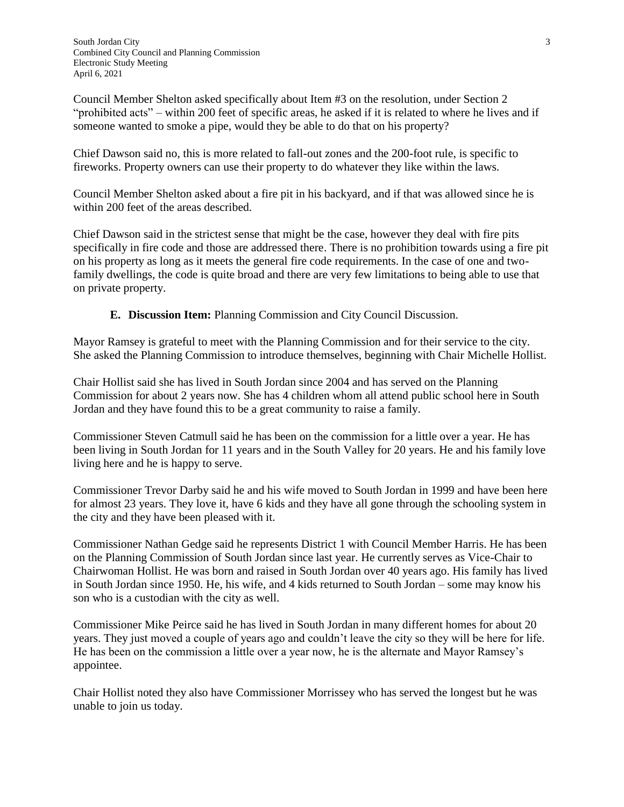Council Member Shelton asked specifically about Item #3 on the resolution, under Section 2 "prohibited acts" – within 200 feet of specific areas, he asked if it is related to where he lives and if someone wanted to smoke a pipe, would they be able to do that on his property?

Chief Dawson said no, this is more related to fall-out zones and the 200-foot rule, is specific to fireworks. Property owners can use their property to do whatever they like within the laws.

Council Member Shelton asked about a fire pit in his backyard, and if that was allowed since he is within 200 feet of the areas described.

Chief Dawson said in the strictest sense that might be the case, however they deal with fire pits specifically in fire code and those are addressed there. There is no prohibition towards using a fire pit on his property as long as it meets the general fire code requirements. In the case of one and twofamily dwellings, the code is quite broad and there are very few limitations to being able to use that on private property.

**E. Discussion Item:** Planning Commission and City Council Discussion.

Mayor Ramsey is grateful to meet with the Planning Commission and for their service to the city. She asked the Planning Commission to introduce themselves, beginning with Chair Michelle Hollist.

Chair Hollist said she has lived in South Jordan since 2004 and has served on the Planning Commission for about 2 years now. She has 4 children whom all attend public school here in South Jordan and they have found this to be a great community to raise a family.

Commissioner Steven Catmull said he has been on the commission for a little over a year. He has been living in South Jordan for 11 years and in the South Valley for 20 years. He and his family love living here and he is happy to serve.

Commissioner Trevor Darby said he and his wife moved to South Jordan in 1999 and have been here for almost 23 years. They love it, have 6 kids and they have all gone through the schooling system in the city and they have been pleased with it.

Commissioner Nathan Gedge said he represents District 1 with Council Member Harris. He has been on the Planning Commission of South Jordan since last year. He currently serves as Vice-Chair to Chairwoman Hollist. He was born and raised in South Jordan over 40 years ago. His family has lived in South Jordan since 1950. He, his wife, and 4 kids returned to South Jordan – some may know his son who is a custodian with the city as well.

Commissioner Mike Peirce said he has lived in South Jordan in many different homes for about 20 years. They just moved a couple of years ago and couldn't leave the city so they will be here for life. He has been on the commission a little over a year now, he is the alternate and Mayor Ramsey's appointee.

Chair Hollist noted they also have Commissioner Morrissey who has served the longest but he was unable to join us today.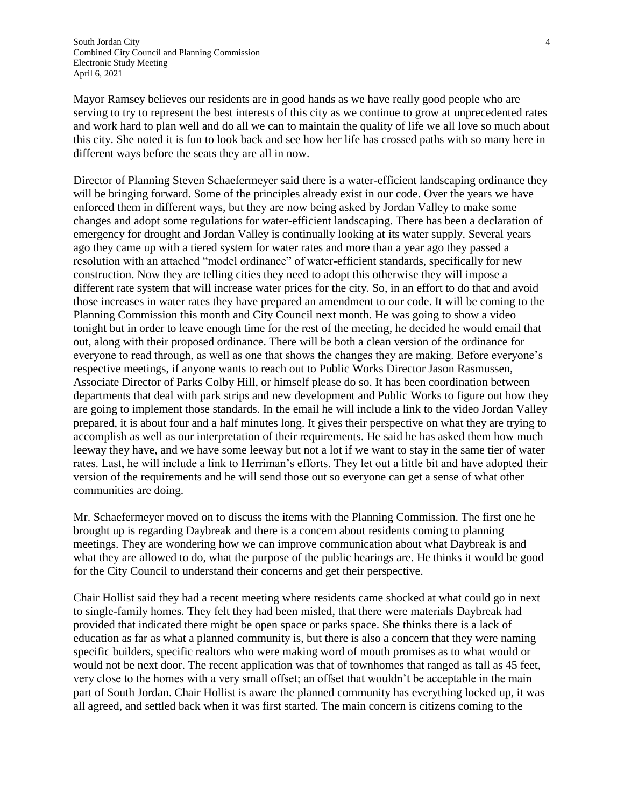Mayor Ramsey believes our residents are in good hands as we have really good people who are serving to try to represent the best interests of this city as we continue to grow at unprecedented rates and work hard to plan well and do all we can to maintain the quality of life we all love so much about this city. She noted it is fun to look back and see how her life has crossed paths with so many here in different ways before the seats they are all in now.

Director of Planning Steven Schaefermeyer said there is a water-efficient landscaping ordinance they will be bringing forward. Some of the principles already exist in our code. Over the years we have enforced them in different ways, but they are now being asked by Jordan Valley to make some changes and adopt some regulations for water-efficient landscaping. There has been a declaration of emergency for drought and Jordan Valley is continually looking at its water supply. Several years ago they came up with a tiered system for water rates and more than a year ago they passed a resolution with an attached "model ordinance" of water-efficient standards, specifically for new construction. Now they are telling cities they need to adopt this otherwise they will impose a different rate system that will increase water prices for the city. So, in an effort to do that and avoid those increases in water rates they have prepared an amendment to our code. It will be coming to the Planning Commission this month and City Council next month. He was going to show a video tonight but in order to leave enough time for the rest of the meeting, he decided he would email that out, along with their proposed ordinance. There will be both a clean version of the ordinance for everyone to read through, as well as one that shows the changes they are making. Before everyone's respective meetings, if anyone wants to reach out to Public Works Director Jason Rasmussen, Associate Director of Parks Colby Hill, or himself please do so. It has been coordination between departments that deal with park strips and new development and Public Works to figure out how they are going to implement those standards. In the email he will include a link to the video Jordan Valley prepared, it is about four and a half minutes long. It gives their perspective on what they are trying to accomplish as well as our interpretation of their requirements. He said he has asked them how much leeway they have, and we have some leeway but not a lot if we want to stay in the same tier of water rates. Last, he will include a link to Herriman's efforts. They let out a little bit and have adopted their version of the requirements and he will send those out so everyone can get a sense of what other communities are doing.

Mr. Schaefermeyer moved on to discuss the items with the Planning Commission. The first one he brought up is regarding Daybreak and there is a concern about residents coming to planning meetings. They are wondering how we can improve communication about what Daybreak is and what they are allowed to do, what the purpose of the public hearings are. He thinks it would be good for the City Council to understand their concerns and get their perspective.

Chair Hollist said they had a recent meeting where residents came shocked at what could go in next to single-family homes. They felt they had been misled, that there were materials Daybreak had provided that indicated there might be open space or parks space. She thinks there is a lack of education as far as what a planned community is, but there is also a concern that they were naming specific builders, specific realtors who were making word of mouth promises as to what would or would not be next door. The recent application was that of townhomes that ranged as tall as 45 feet, very close to the homes with a very small offset; an offset that wouldn't be acceptable in the main part of South Jordan. Chair Hollist is aware the planned community has everything locked up, it was all agreed, and settled back when it was first started. The main concern is citizens coming to the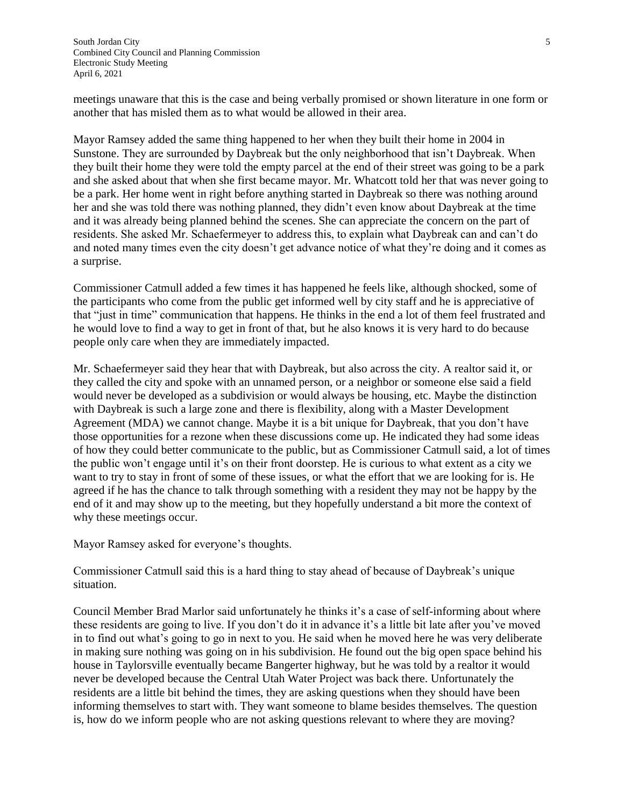meetings unaware that this is the case and being verbally promised or shown literature in one form or another that has misled them as to what would be allowed in their area.

Mayor Ramsey added the same thing happened to her when they built their home in 2004 in Sunstone. They are surrounded by Daybreak but the only neighborhood that isn't Daybreak. When they built their home they were told the empty parcel at the end of their street was going to be a park and she asked about that when she first became mayor. Mr. Whatcott told her that was never going to be a park. Her home went in right before anything started in Daybreak so there was nothing around her and she was told there was nothing planned, they didn't even know about Daybreak at the time and it was already being planned behind the scenes. She can appreciate the concern on the part of residents. She asked Mr. Schaefermeyer to address this, to explain what Daybreak can and can't do and noted many times even the city doesn't get advance notice of what they're doing and it comes as a surprise.

Commissioner Catmull added a few times it has happened he feels like, although shocked, some of the participants who come from the public get informed well by city staff and he is appreciative of that "just in time" communication that happens. He thinks in the end a lot of them feel frustrated and he would love to find a way to get in front of that, but he also knows it is very hard to do because people only care when they are immediately impacted.

Mr. Schaefermeyer said they hear that with Daybreak, but also across the city. A realtor said it, or they called the city and spoke with an unnamed person, or a neighbor or someone else said a field would never be developed as a subdivision or would always be housing, etc. Maybe the distinction with Daybreak is such a large zone and there is flexibility, along with a Master Development Agreement (MDA) we cannot change. Maybe it is a bit unique for Daybreak, that you don't have those opportunities for a rezone when these discussions come up. He indicated they had some ideas of how they could better communicate to the public, but as Commissioner Catmull said, a lot of times the public won't engage until it's on their front doorstep. He is curious to what extent as a city we want to try to stay in front of some of these issues, or what the effort that we are looking for is. He agreed if he has the chance to talk through something with a resident they may not be happy by the end of it and may show up to the meeting, but they hopefully understand a bit more the context of why these meetings occur.

Mayor Ramsey asked for everyone's thoughts.

Commissioner Catmull said this is a hard thing to stay ahead of because of Daybreak's unique situation.

Council Member Brad Marlor said unfortunately he thinks it's a case of self-informing about where these residents are going to live. If you don't do it in advance it's a little bit late after you've moved in to find out what's going to go in next to you. He said when he moved here he was very deliberate in making sure nothing was going on in his subdivision. He found out the big open space behind his house in Taylorsville eventually became Bangerter highway, but he was told by a realtor it would never be developed because the Central Utah Water Project was back there. Unfortunately the residents are a little bit behind the times, they are asking questions when they should have been informing themselves to start with. They want someone to blame besides themselves. The question is, how do we inform people who are not asking questions relevant to where they are moving?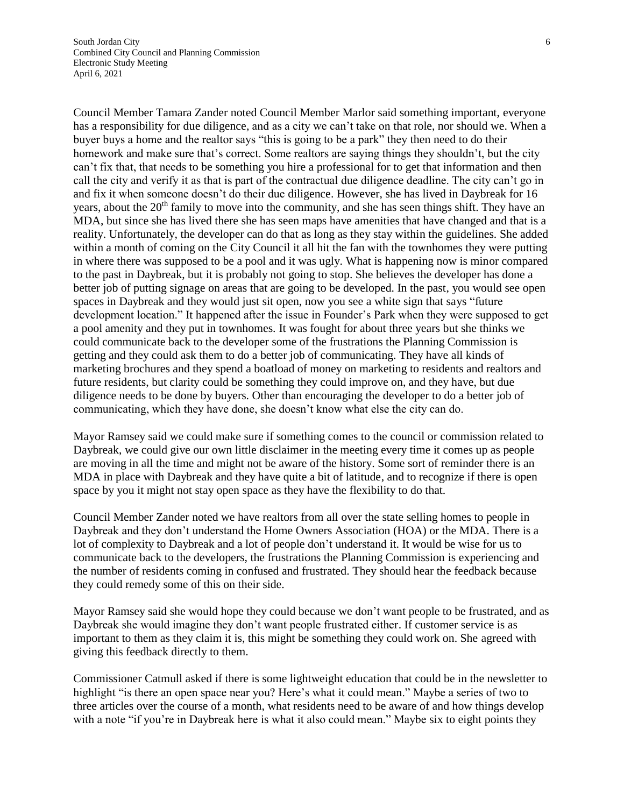Council Member Tamara Zander noted Council Member Marlor said something important, everyone has a responsibility for due diligence, and as a city we can't take on that role, nor should we. When a buyer buys a home and the realtor says "this is going to be a park" they then need to do their homework and make sure that's correct. Some realtors are saying things they shouldn't, but the city can't fix that, that needs to be something you hire a professional for to get that information and then call the city and verify it as that is part of the contractual due diligence deadline. The city can't go in and fix it when someone doesn't do their due diligence. However, she has lived in Daybreak for 16 years, about the 20<sup>th</sup> family to move into the community, and she has seen things shift. They have an MDA, but since she has lived there she has seen maps have amenities that have changed and that is a reality. Unfortunately, the developer can do that as long as they stay within the guidelines. She added within a month of coming on the City Council it all hit the fan with the townhomes they were putting in where there was supposed to be a pool and it was ugly. What is happening now is minor compared to the past in Daybreak, but it is probably not going to stop. She believes the developer has done a better job of putting signage on areas that are going to be developed. In the past, you would see open spaces in Daybreak and they would just sit open, now you see a white sign that says "future development location." It happened after the issue in Founder's Park when they were supposed to get a pool amenity and they put in townhomes. It was fought for about three years but she thinks we could communicate back to the developer some of the frustrations the Planning Commission is getting and they could ask them to do a better job of communicating. They have all kinds of marketing brochures and they spend a boatload of money on marketing to residents and realtors and future residents, but clarity could be something they could improve on, and they have, but due diligence needs to be done by buyers. Other than encouraging the developer to do a better job of communicating, which they have done, she doesn't know what else the city can do.

Mayor Ramsey said we could make sure if something comes to the council or commission related to Daybreak, we could give our own little disclaimer in the meeting every time it comes up as people are moving in all the time and might not be aware of the history. Some sort of reminder there is an MDA in place with Daybreak and they have quite a bit of latitude, and to recognize if there is open space by you it might not stay open space as they have the flexibility to do that.

Council Member Zander noted we have realtors from all over the state selling homes to people in Daybreak and they don't understand the Home Owners Association (HOA) or the MDA. There is a lot of complexity to Daybreak and a lot of people don't understand it. It would be wise for us to communicate back to the developers, the frustrations the Planning Commission is experiencing and the number of residents coming in confused and frustrated. They should hear the feedback because they could remedy some of this on their side.

Mayor Ramsey said she would hope they could because we don't want people to be frustrated, and as Daybreak she would imagine they don't want people frustrated either. If customer service is as important to them as they claim it is, this might be something they could work on. She agreed with giving this feedback directly to them.

Commissioner Catmull asked if there is some lightweight education that could be in the newsletter to highlight "is there an open space near you? Here's what it could mean." Maybe a series of two to three articles over the course of a month, what residents need to be aware of and how things develop with a note "if you're in Daybreak here is what it also could mean." Maybe six to eight points they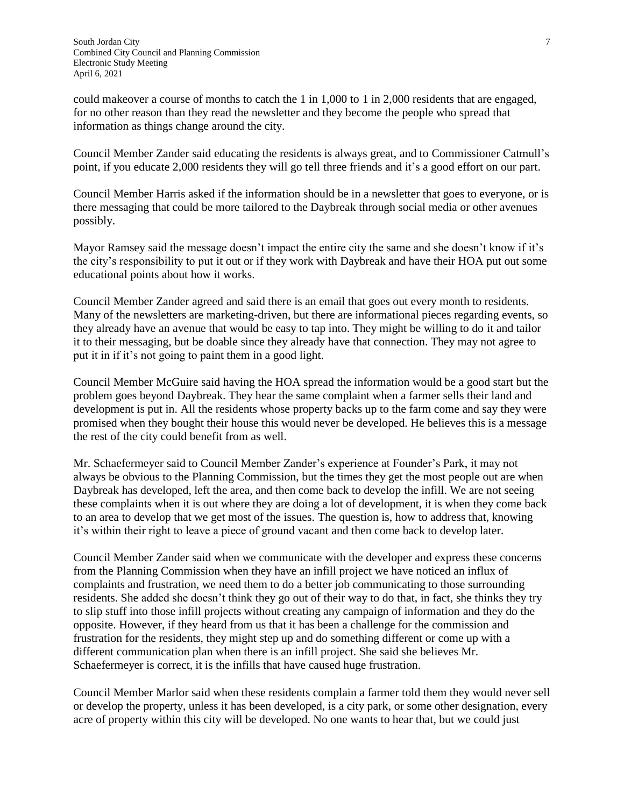could makeover a course of months to catch the 1 in 1,000 to 1 in 2,000 residents that are engaged, for no other reason than they read the newsletter and they become the people who spread that information as things change around the city.

Council Member Zander said educating the residents is always great, and to Commissioner Catmull's point, if you educate 2,000 residents they will go tell three friends and it's a good effort on our part.

Council Member Harris asked if the information should be in a newsletter that goes to everyone, or is there messaging that could be more tailored to the Daybreak through social media or other avenues possibly.

Mayor Ramsey said the message doesn't impact the entire city the same and she doesn't know if it's the city's responsibility to put it out or if they work with Daybreak and have their HOA put out some educational points about how it works.

Council Member Zander agreed and said there is an email that goes out every month to residents. Many of the newsletters are marketing-driven, but there are informational pieces regarding events, so they already have an avenue that would be easy to tap into. They might be willing to do it and tailor it to their messaging, but be doable since they already have that connection. They may not agree to put it in if it's not going to paint them in a good light.

Council Member McGuire said having the HOA spread the information would be a good start but the problem goes beyond Daybreak. They hear the same complaint when a farmer sells their land and development is put in. All the residents whose property backs up to the farm come and say they were promised when they bought their house this would never be developed. He believes this is a message the rest of the city could benefit from as well.

Mr. Schaefermeyer said to Council Member Zander's experience at Founder's Park, it may not always be obvious to the Planning Commission, but the times they get the most people out are when Daybreak has developed, left the area, and then come back to develop the infill. We are not seeing these complaints when it is out where they are doing a lot of development, it is when they come back to an area to develop that we get most of the issues. The question is, how to address that, knowing it's within their right to leave a piece of ground vacant and then come back to develop later.

Council Member Zander said when we communicate with the developer and express these concerns from the Planning Commission when they have an infill project we have noticed an influx of complaints and frustration, we need them to do a better job communicating to those surrounding residents. She added she doesn't think they go out of their way to do that, in fact, she thinks they try to slip stuff into those infill projects without creating any campaign of information and they do the opposite. However, if they heard from us that it has been a challenge for the commission and frustration for the residents, they might step up and do something different or come up with a different communication plan when there is an infill project. She said she believes Mr. Schaefermeyer is correct, it is the infills that have caused huge frustration.

Council Member Marlor said when these residents complain a farmer told them they would never sell or develop the property, unless it has been developed, is a city park, or some other designation, every acre of property within this city will be developed. No one wants to hear that, but we could just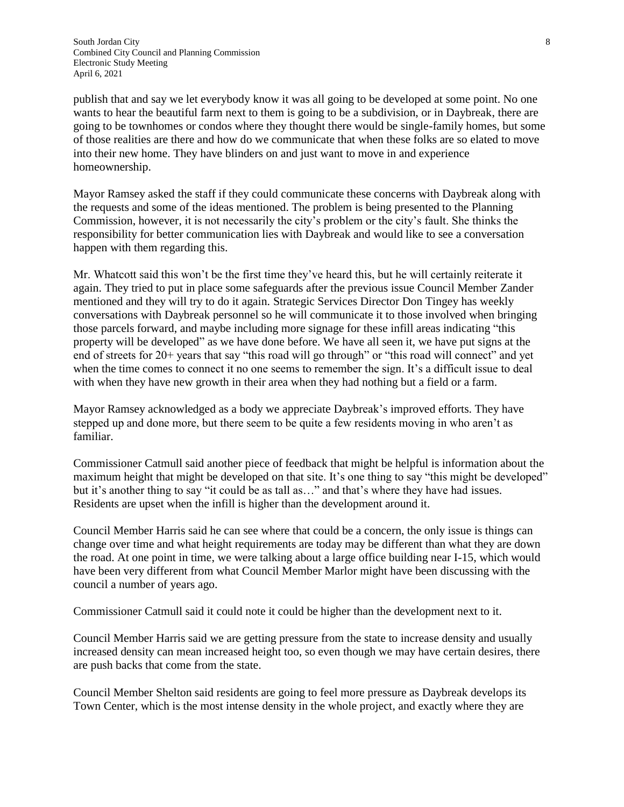South Jordan City 8 Combined City Council and Planning Commission Electronic Study Meeting April 6, 2021

publish that and say we let everybody know it was all going to be developed at some point. No one wants to hear the beautiful farm next to them is going to be a subdivision, or in Daybreak, there are going to be townhomes or condos where they thought there would be single-family homes, but some of those realities are there and how do we communicate that when these folks are so elated to move into their new home. They have blinders on and just want to move in and experience homeownership.

Mayor Ramsey asked the staff if they could communicate these concerns with Daybreak along with the requests and some of the ideas mentioned. The problem is being presented to the Planning Commission, however, it is not necessarily the city's problem or the city's fault. She thinks the responsibility for better communication lies with Daybreak and would like to see a conversation happen with them regarding this.

Mr. Whatcott said this won't be the first time they've heard this, but he will certainly reiterate it again. They tried to put in place some safeguards after the previous issue Council Member Zander mentioned and they will try to do it again. Strategic Services Director Don Tingey has weekly conversations with Daybreak personnel so he will communicate it to those involved when bringing those parcels forward, and maybe including more signage for these infill areas indicating "this property will be developed" as we have done before. We have all seen it, we have put signs at the end of streets for 20+ years that say "this road will go through" or "this road will connect" and yet when the time comes to connect it no one seems to remember the sign. It's a difficult issue to deal with when they have new growth in their area when they had nothing but a field or a farm.

Mayor Ramsey acknowledged as a body we appreciate Daybreak's improved efforts. They have stepped up and done more, but there seem to be quite a few residents moving in who aren't as familiar.

Commissioner Catmull said another piece of feedback that might be helpful is information about the maximum height that might be developed on that site. It's one thing to say "this might be developed" but it's another thing to say "it could be as tall as…" and that's where they have had issues. Residents are upset when the infill is higher than the development around it.

Council Member Harris said he can see where that could be a concern, the only issue is things can change over time and what height requirements are today may be different than what they are down the road. At one point in time, we were talking about a large office building near I-15, which would have been very different from what Council Member Marlor might have been discussing with the council a number of years ago.

Commissioner Catmull said it could note it could be higher than the development next to it.

Council Member Harris said we are getting pressure from the state to increase density and usually increased density can mean increased height too, so even though we may have certain desires, there are push backs that come from the state.

Council Member Shelton said residents are going to feel more pressure as Daybreak develops its Town Center, which is the most intense density in the whole project, and exactly where they are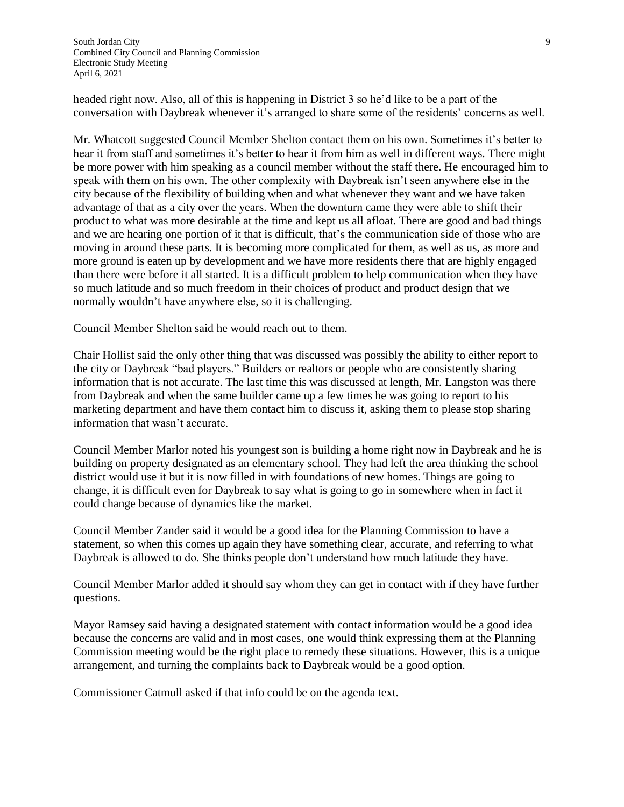South Jordan City 9 Combined City Council and Planning Commission Electronic Study Meeting April 6, 2021

headed right now. Also, all of this is happening in District 3 so he'd like to be a part of the conversation with Daybreak whenever it's arranged to share some of the residents' concerns as well.

Mr. Whatcott suggested Council Member Shelton contact them on his own. Sometimes it's better to hear it from staff and sometimes it's better to hear it from him as well in different ways. There might be more power with him speaking as a council member without the staff there. He encouraged him to speak with them on his own. The other complexity with Daybreak isn't seen anywhere else in the city because of the flexibility of building when and what whenever they want and we have taken advantage of that as a city over the years. When the downturn came they were able to shift their product to what was more desirable at the time and kept us all afloat. There are good and bad things and we are hearing one portion of it that is difficult, that's the communication side of those who are moving in around these parts. It is becoming more complicated for them, as well as us, as more and more ground is eaten up by development and we have more residents there that are highly engaged than there were before it all started. It is a difficult problem to help communication when they have so much latitude and so much freedom in their choices of product and product design that we normally wouldn't have anywhere else, so it is challenging.

Council Member Shelton said he would reach out to them.

Chair Hollist said the only other thing that was discussed was possibly the ability to either report to the city or Daybreak "bad players." Builders or realtors or people who are consistently sharing information that is not accurate. The last time this was discussed at length, Mr. Langston was there from Daybreak and when the same builder came up a few times he was going to report to his marketing department and have them contact him to discuss it, asking them to please stop sharing information that wasn't accurate.

Council Member Marlor noted his youngest son is building a home right now in Daybreak and he is building on property designated as an elementary school. They had left the area thinking the school district would use it but it is now filled in with foundations of new homes. Things are going to change, it is difficult even for Daybreak to say what is going to go in somewhere when in fact it could change because of dynamics like the market.

Council Member Zander said it would be a good idea for the Planning Commission to have a statement, so when this comes up again they have something clear, accurate, and referring to what Daybreak is allowed to do. She thinks people don't understand how much latitude they have.

Council Member Marlor added it should say whom they can get in contact with if they have further questions.

Mayor Ramsey said having a designated statement with contact information would be a good idea because the concerns are valid and in most cases, one would think expressing them at the Planning Commission meeting would be the right place to remedy these situations. However, this is a unique arrangement, and turning the complaints back to Daybreak would be a good option.

Commissioner Catmull asked if that info could be on the agenda text.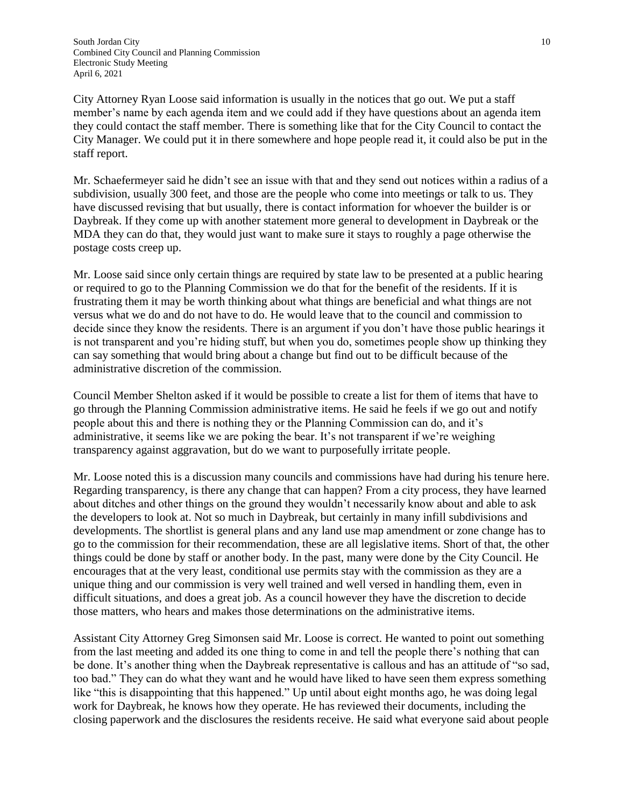City Attorney Ryan Loose said information is usually in the notices that go out. We put a staff member's name by each agenda item and we could add if they have questions about an agenda item they could contact the staff member. There is something like that for the City Council to contact the City Manager. We could put it in there somewhere and hope people read it, it could also be put in the staff report.

Mr. Schaefermeyer said he didn't see an issue with that and they send out notices within a radius of a subdivision, usually 300 feet, and those are the people who come into meetings or talk to us. They have discussed revising that but usually, there is contact information for whoever the builder is or Daybreak. If they come up with another statement more general to development in Daybreak or the MDA they can do that, they would just want to make sure it stays to roughly a page otherwise the postage costs creep up.

Mr. Loose said since only certain things are required by state law to be presented at a public hearing or required to go to the Planning Commission we do that for the benefit of the residents. If it is frustrating them it may be worth thinking about what things are beneficial and what things are not versus what we do and do not have to do. He would leave that to the council and commission to decide since they know the residents. There is an argument if you don't have those public hearings it is not transparent and you're hiding stuff, but when you do, sometimes people show up thinking they can say something that would bring about a change but find out to be difficult because of the administrative discretion of the commission.

Council Member Shelton asked if it would be possible to create a list for them of items that have to go through the Planning Commission administrative items. He said he feels if we go out and notify people about this and there is nothing they or the Planning Commission can do, and it's administrative, it seems like we are poking the bear. It's not transparent if we're weighing transparency against aggravation, but do we want to purposefully irritate people.

Mr. Loose noted this is a discussion many councils and commissions have had during his tenure here. Regarding transparency, is there any change that can happen? From a city process, they have learned about ditches and other things on the ground they wouldn't necessarily know about and able to ask the developers to look at. Not so much in Daybreak, but certainly in many infill subdivisions and developments. The shortlist is general plans and any land use map amendment or zone change has to go to the commission for their recommendation, these are all legislative items. Short of that, the other things could be done by staff or another body. In the past, many were done by the City Council. He encourages that at the very least, conditional use permits stay with the commission as they are a unique thing and our commission is very well trained and well versed in handling them, even in difficult situations, and does a great job. As a council however they have the discretion to decide those matters, who hears and makes those determinations on the administrative items.

Assistant City Attorney Greg Simonsen said Mr. Loose is correct. He wanted to point out something from the last meeting and added its one thing to come in and tell the people there's nothing that can be done. It's another thing when the Daybreak representative is callous and has an attitude of "so sad, too bad." They can do what they want and he would have liked to have seen them express something like "this is disappointing that this happened." Up until about eight months ago, he was doing legal work for Daybreak, he knows how they operate. He has reviewed their documents, including the closing paperwork and the disclosures the residents receive. He said what everyone said about people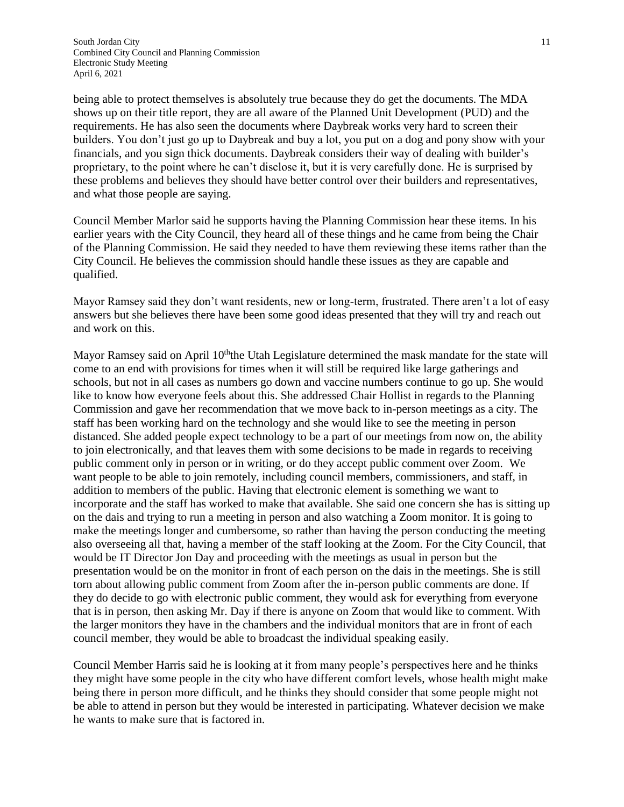being able to protect themselves is absolutely true because they do get the documents. The MDA shows up on their title report, they are all aware of the Planned Unit Development (PUD) and the requirements. He has also seen the documents where Daybreak works very hard to screen their builders. You don't just go up to Daybreak and buy a lot, you put on a dog and pony show with your financials, and you sign thick documents. Daybreak considers their way of dealing with builder's proprietary, to the point where he can't disclose it, but it is very carefully done. He is surprised by these problems and believes they should have better control over their builders and representatives, and what those people are saying.

Council Member Marlor said he supports having the Planning Commission hear these items. In his earlier years with the City Council, they heard all of these things and he came from being the Chair of the Planning Commission. He said they needed to have them reviewing these items rather than the City Council. He believes the commission should handle these issues as they are capable and qualified.

Mayor Ramsey said they don't want residents, new or long-term, frustrated. There aren't a lot of easy answers but she believes there have been some good ideas presented that they will try and reach out and work on this.

Mayor Ramsey said on April 10<sup>th</sup>the Utah Legislature determined the mask mandate for the state will come to an end with provisions for times when it will still be required like large gatherings and schools, but not in all cases as numbers go down and vaccine numbers continue to go up. She would like to know how everyone feels about this. She addressed Chair Hollist in regards to the Planning Commission and gave her recommendation that we move back to in-person meetings as a city. The staff has been working hard on the technology and she would like to see the meeting in person distanced. She added people expect technology to be a part of our meetings from now on, the ability to join electronically, and that leaves them with some decisions to be made in regards to receiving public comment only in person or in writing, or do they accept public comment over Zoom. We want people to be able to join remotely, including council members, commissioners, and staff, in addition to members of the public. Having that electronic element is something we want to incorporate and the staff has worked to make that available. She said one concern she has is sitting up on the dais and trying to run a meeting in person and also watching a Zoom monitor. It is going to make the meetings longer and cumbersome, so rather than having the person conducting the meeting also overseeing all that, having a member of the staff looking at the Zoom. For the City Council, that would be IT Director Jon Day and proceeding with the meetings as usual in person but the presentation would be on the monitor in front of each person on the dais in the meetings. She is still torn about allowing public comment from Zoom after the in-person public comments are done. If they do decide to go with electronic public comment, they would ask for everything from everyone that is in person, then asking Mr. Day if there is anyone on Zoom that would like to comment. With the larger monitors they have in the chambers and the individual monitors that are in front of each council member, they would be able to broadcast the individual speaking easily.

Council Member Harris said he is looking at it from many people's perspectives here and he thinks they might have some people in the city who have different comfort levels, whose health might make being there in person more difficult, and he thinks they should consider that some people might not be able to attend in person but they would be interested in participating. Whatever decision we make he wants to make sure that is factored in.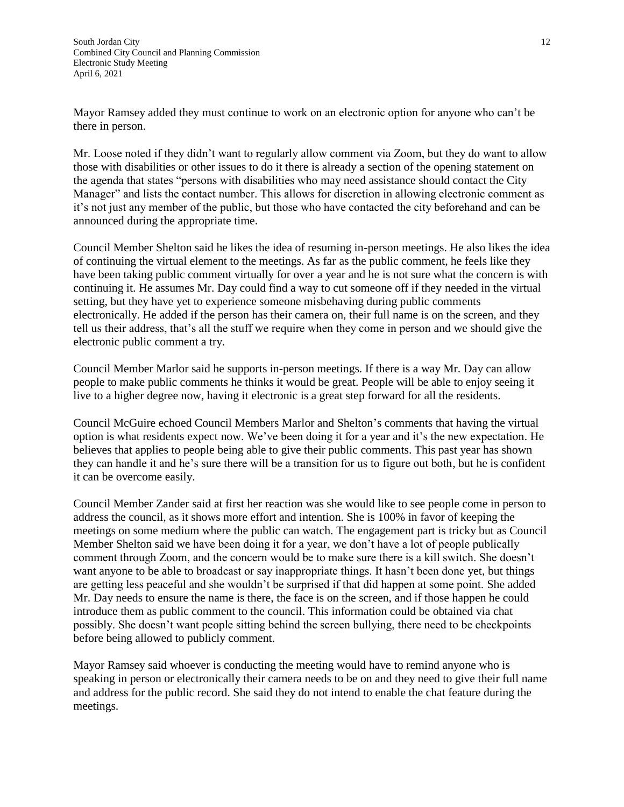Mayor Ramsey added they must continue to work on an electronic option for anyone who can't be there in person.

Mr. Loose noted if they didn't want to regularly allow comment via Zoom, but they do want to allow those with disabilities or other issues to do it there is already a section of the opening statement on the agenda that states "persons with disabilities who may need assistance should contact the City Manager" and lists the contact number. This allows for discretion in allowing electronic comment as it's not just any member of the public, but those who have contacted the city beforehand and can be announced during the appropriate time.

Council Member Shelton said he likes the idea of resuming in-person meetings. He also likes the idea of continuing the virtual element to the meetings. As far as the public comment, he feels like they have been taking public comment virtually for over a year and he is not sure what the concern is with continuing it. He assumes Mr. Day could find a way to cut someone off if they needed in the virtual setting, but they have yet to experience someone misbehaving during public comments electronically. He added if the person has their camera on, their full name is on the screen, and they tell us their address, that's all the stuff we require when they come in person and we should give the electronic public comment a try.

Council Member Marlor said he supports in-person meetings. If there is a way Mr. Day can allow people to make public comments he thinks it would be great. People will be able to enjoy seeing it live to a higher degree now, having it electronic is a great step forward for all the residents.

Council McGuire echoed Council Members Marlor and Shelton's comments that having the virtual option is what residents expect now. We've been doing it for a year and it's the new expectation. He believes that applies to people being able to give their public comments. This past year has shown they can handle it and he's sure there will be a transition for us to figure out both, but he is confident it can be overcome easily.

Council Member Zander said at first her reaction was she would like to see people come in person to address the council, as it shows more effort and intention. She is 100% in favor of keeping the meetings on some medium where the public can watch. The engagement part is tricky but as Council Member Shelton said we have been doing it for a year, we don't have a lot of people publically comment through Zoom, and the concern would be to make sure there is a kill switch. She doesn't want anyone to be able to broadcast or say inappropriate things. It hasn't been done yet, but things are getting less peaceful and she wouldn't be surprised if that did happen at some point. She added Mr. Day needs to ensure the name is there, the face is on the screen, and if those happen he could introduce them as public comment to the council. This information could be obtained via chat possibly. She doesn't want people sitting behind the screen bullying, there need to be checkpoints before being allowed to publicly comment.

Mayor Ramsey said whoever is conducting the meeting would have to remind anyone who is speaking in person or electronically their camera needs to be on and they need to give their full name and address for the public record. She said they do not intend to enable the chat feature during the meetings.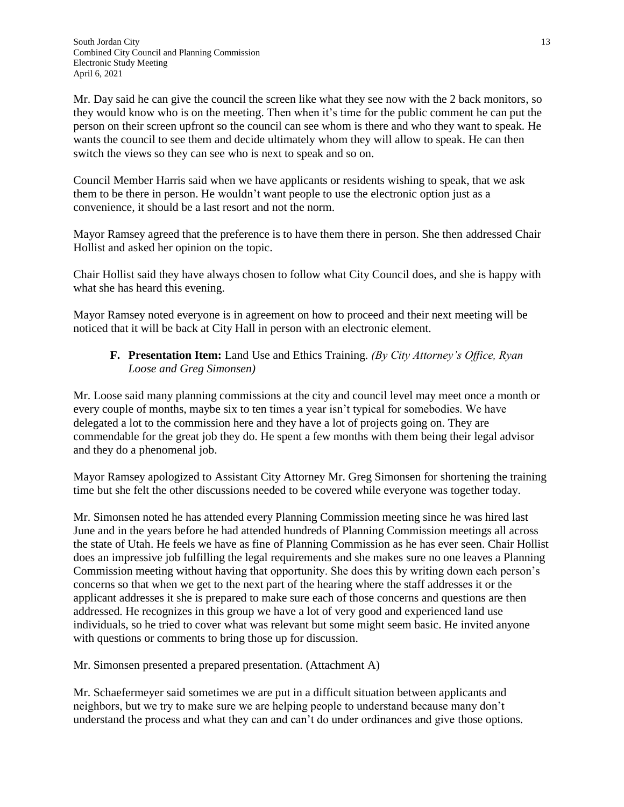Mr. Day said he can give the council the screen like what they see now with the 2 back monitors, so they would know who is on the meeting. Then when it's time for the public comment he can put the person on their screen upfront so the council can see whom is there and who they want to speak. He wants the council to see them and decide ultimately whom they will allow to speak. He can then switch the views so they can see who is next to speak and so on.

Council Member Harris said when we have applicants or residents wishing to speak, that we ask them to be there in person. He wouldn't want people to use the electronic option just as a convenience, it should be a last resort and not the norm.

Mayor Ramsey agreed that the preference is to have them there in person. She then addressed Chair Hollist and asked her opinion on the topic.

Chair Hollist said they have always chosen to follow what City Council does, and she is happy with what she has heard this evening.

Mayor Ramsey noted everyone is in agreement on how to proceed and their next meeting will be noticed that it will be back at City Hall in person with an electronic element.

### **F. Presentation Item:** Land Use and Ethics Training. *(By City Attorney's Office, Ryan Loose and Greg Simonsen)*

Mr. Loose said many planning commissions at the city and council level may meet once a month or every couple of months, maybe six to ten times a year isn't typical for somebodies. We have delegated a lot to the commission here and they have a lot of projects going on. They are commendable for the great job they do. He spent a few months with them being their legal advisor and they do a phenomenal job.

Mayor Ramsey apologized to Assistant City Attorney Mr. Greg Simonsen for shortening the training time but she felt the other discussions needed to be covered while everyone was together today.

Mr. Simonsen noted he has attended every Planning Commission meeting since he was hired last June and in the years before he had attended hundreds of Planning Commission meetings all across the state of Utah. He feels we have as fine of Planning Commission as he has ever seen. Chair Hollist does an impressive job fulfilling the legal requirements and she makes sure no one leaves a Planning Commission meeting without having that opportunity. She does this by writing down each person's concerns so that when we get to the next part of the hearing where the staff addresses it or the applicant addresses it she is prepared to make sure each of those concerns and questions are then addressed. He recognizes in this group we have a lot of very good and experienced land use individuals, so he tried to cover what was relevant but some might seem basic. He invited anyone with questions or comments to bring those up for discussion.

Mr. Simonsen presented a prepared presentation. (Attachment A)

Mr. Schaefermeyer said sometimes we are put in a difficult situation between applicants and neighbors, but we try to make sure we are helping people to understand because many don't understand the process and what they can and can't do under ordinances and give those options.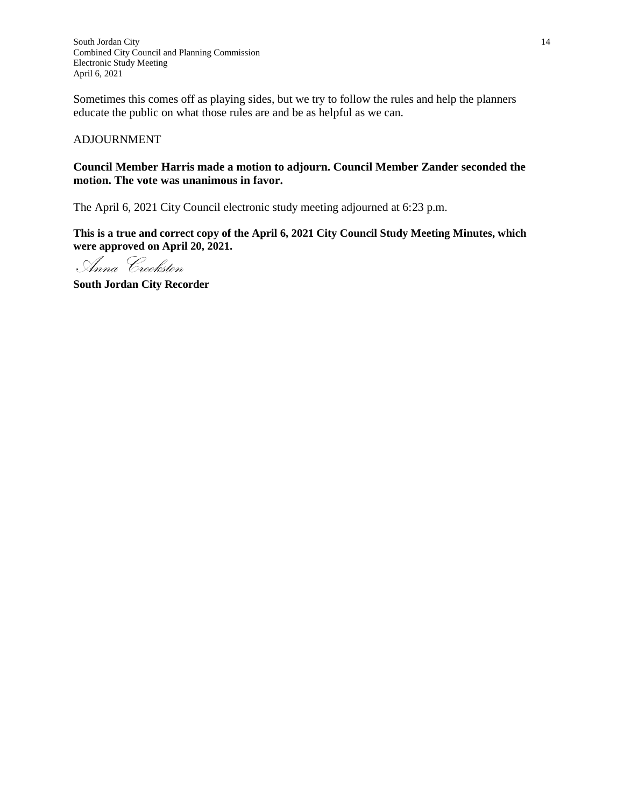South Jordan City **14** Combined City Council and Planning Commission Electronic Study Meeting April 6, 2021

Sometimes this comes off as playing sides, but we try to follow the rules and help the planners educate the public on what those rules are and be as helpful as we can.

#### ADJOURNMENT

#### **Council Member Harris made a motion to adjourn. Council Member Zander seconded the motion. The vote was unanimous in favor.**

The April 6, 2021 City Council electronic study meeting adjourned at 6:23 p.m.

**This is a true and correct copy of the April 6, 2021 City Council Study Meeting Minutes, which were approved on April 20, 2021.**

Anna Crookston

**South Jordan City Recorder**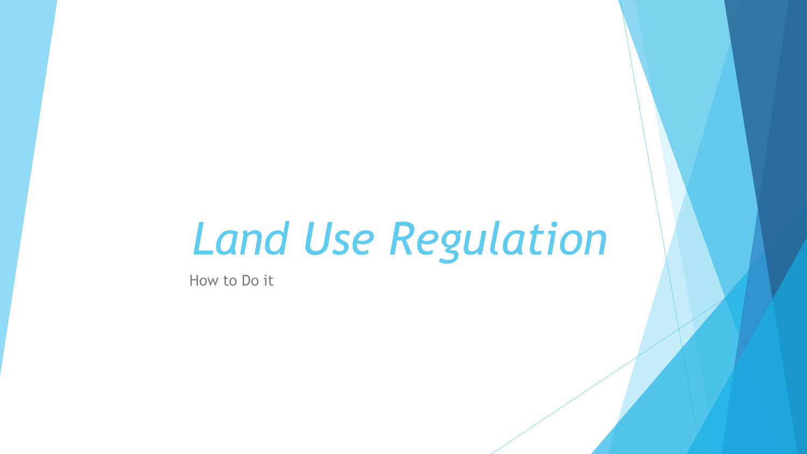# *Land Use Regulation*

How to Do it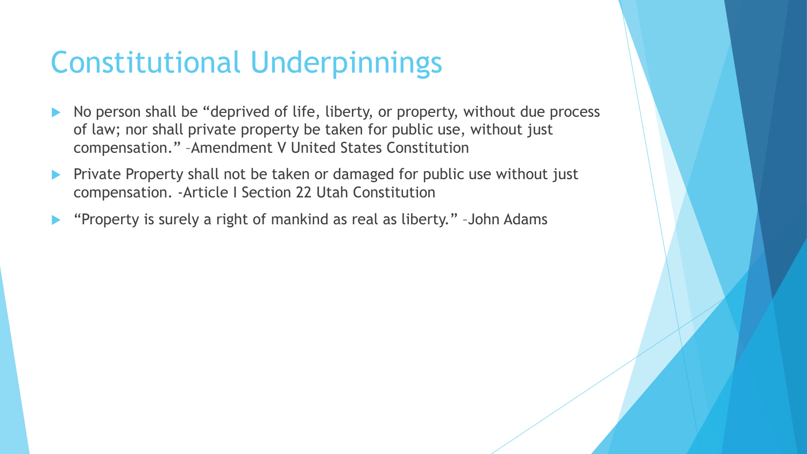## Constitutional Underpinnings

- No person shall be "deprived of life, liberty, or property, without due process of law; nor shall private property be taken for public use, without just compensation." –Amendment V United States Constitution
- **Private Property shall not be taken or damaged for public use without just** compensation. -Article I Section 22 Utah Constitution
- "Property is surely a right of mankind as real as liberty." –John Adams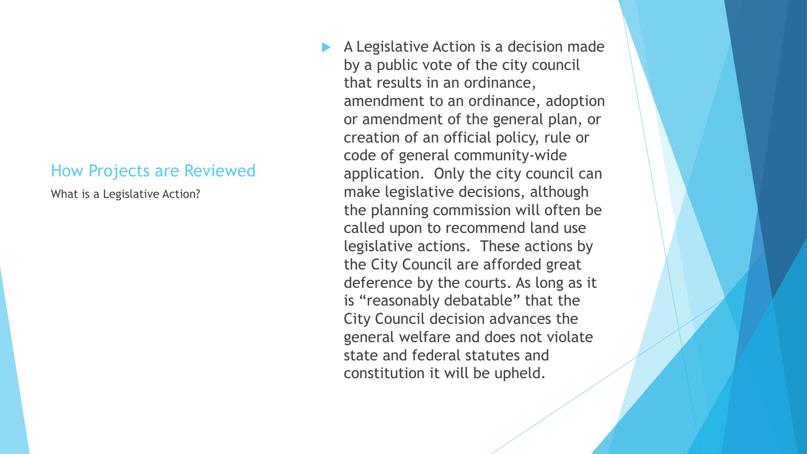### How Projects are Reviewed

What is a Legislative Action?

 A Legislative Action is a decision made by a public vote of the city council that results in an ordinance, amendment to an ordinance, adoption or amendment of the general plan, or creation of an official policy, rule or code of general community-wide application. Only the city council can make legislative decisions, although the planning commission will often be called upon to recommend land use legislative actions. These actions by the City Council are afforded great deference by the courts. As long as it is "reasonably debatable" that the City Council decision advances the general welfare and does not violate state and federal statutes and constitution it will be upheld.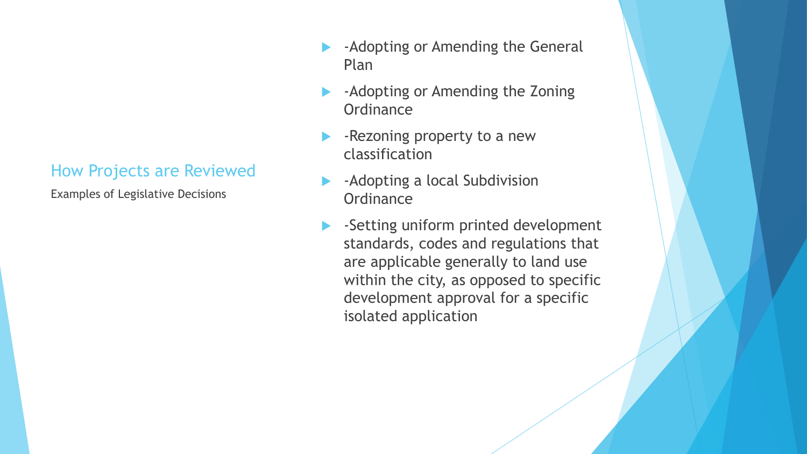### How Projects are Reviewed

Examples of Legislative Decisions

- -Adopting or Amending the General Plan
- -Adopting or Amending the Zoning **Ordinance**
- -Rezoning property to a new classification
- -Adopting a local Subdivision **Ordinance**
- -Setting uniform printed development standards, codes and regulations that are applicable generally to land use within the city, as opposed to specific development approval for a specific isolated application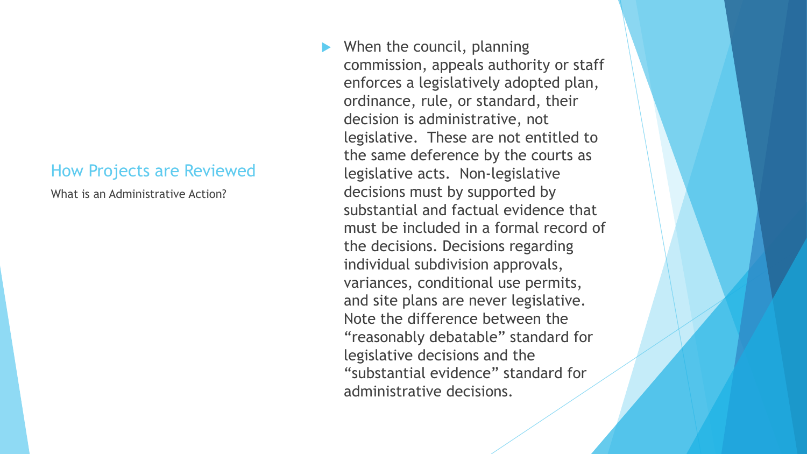### How Projects are Reviewed

What is an Administrative Action?

 When the council, planning commission, appeals authority or staff enforces a legislatively adopted plan, ordinance, rule, or standard, their decision is administrative, not legislative. These are not entitled to the same deference by the courts as legislative acts. Non-legislative decisions must by supported by substantial and factual evidence that must be included in a formal record of the decisions. Decisions regarding individual subdivision approvals, variances, conditional use permits, and site plans are never legislative. Note the difference between the "reasonably debatable" standard for legislative decisions and the "substantial evidence" standard for administrative decisions.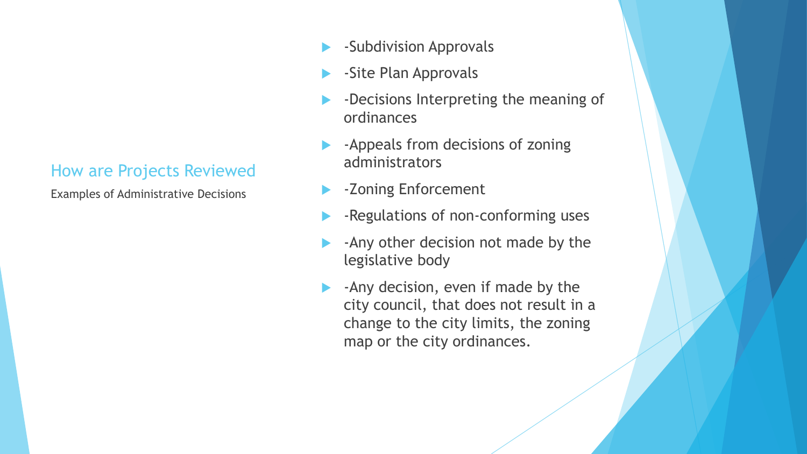### How are Projects Reviewed

Examples of Administrative Decisions

- -Subdivision Approvals
- -Site Plan Approvals
- -Decisions Interpreting the meaning of ordinances
- -Appeals from decisions of zoning administrators
- -Zoning Enforcement
- -Regulations of non-conforming uses
- -Any other decision not made by the legislative body
- -Any decision, even if made by the city council, that does not result in a change to the city limits, the zoning map or the city ordinances.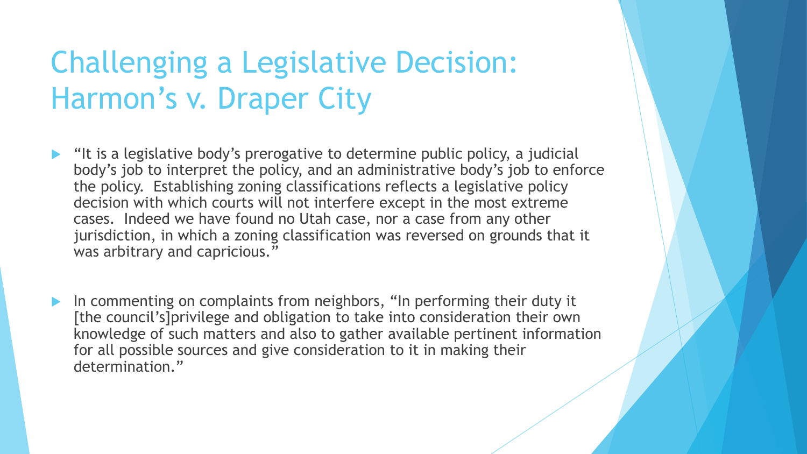# Challenging a Legislative Decision: Harmon's v. Draper City

- "It is a legislative body's prerogative to determine public policy, a judicial body's job to interpret the policy, and an administrative body's job to enforce the policy. Establishing zoning classifications reflects a legislative policy decision with which courts will not interfere except in the most extreme cases. Indeed we have found no Utah case, nor a case from any other jurisdiction, in which a zoning classification was reversed on grounds that it was arbitrary and capricious."
- In commenting on complaints from neighbors, "In performing their duty it [the council's]privilege and obligation to take into consideration their own knowledge of such matters and also to gather available pertinent information for all possible sources and give consideration to it in making their determination."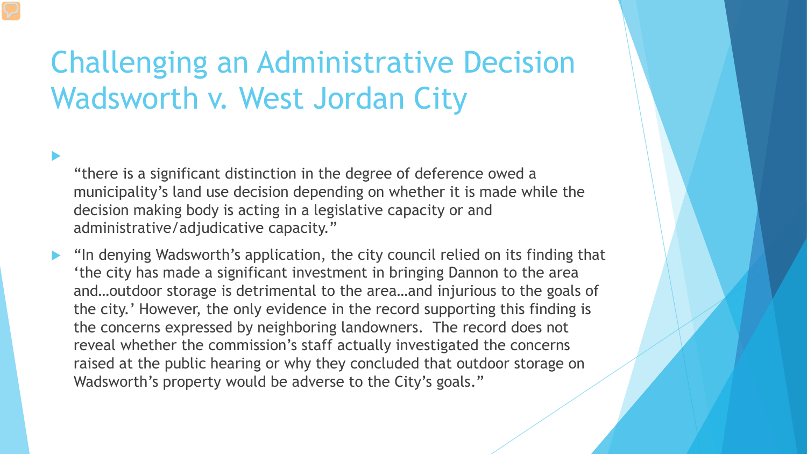# Challenging an Administrative Decision Wadsworth v. West Jordan City

 $\blacktriangleright$ 

"there is a significant distinction in the degree of deference owed a municipality's land use decision depending on whether it is made while the decision making body is acting in a legislative capacity or and administrative/adjudicative capacity."

 "In denying Wadsworth's application, the city council relied on its finding that 'the city has made a significant investment in bringing Dannon to the area and…outdoor storage is detrimental to the area…and injurious to the goals of the city.' However, the only evidence in the record supporting this finding is the concerns expressed by neighboring landowners. The record does not reveal whether the commission's staff actually investigated the concerns raised at the public hearing or why they concluded that outdoor storage on Wadsworth's property would be adverse to the City's goals."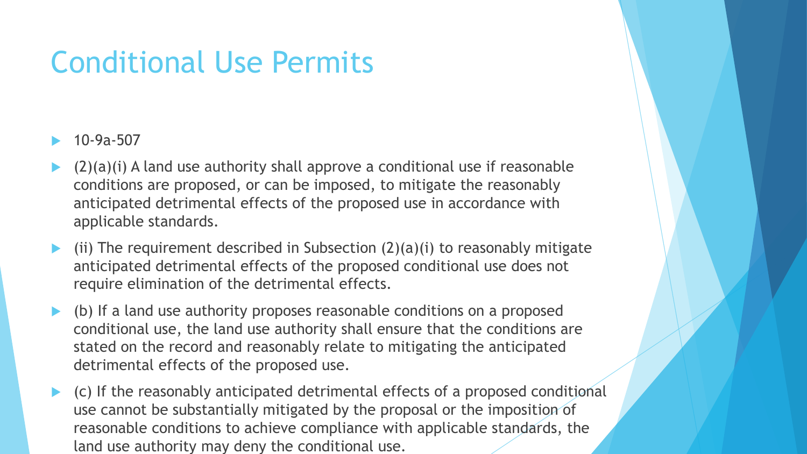## Conditional Use Permits

- 10-9a-507
- $(2)(a)(i)$  A land use authority shall approve a conditional use if reasonable conditions are proposed, or can be imposed, to mitigate the reasonably anticipated detrimental effects of the proposed use in accordance with applicable standards.
- (ii) The requirement described in Subsection  $(2)(a)(i)$  to reasonably mitigate anticipated detrimental effects of the proposed conditional use does not require elimination of the detrimental effects.
- (b) If a land use authority proposes reasonable conditions on a proposed conditional use, the land use authority shall ensure that the conditions are stated on the record and reasonably relate to mitigating the anticipated detrimental effects of the proposed use.
- (c) If the reasonably anticipated detrimental effects of a proposed conditional use cannot be substantially mitigated by the proposal or the imposition of reasonable conditions to achieve compliance with applicable standards, the land use authority may deny the conditional use.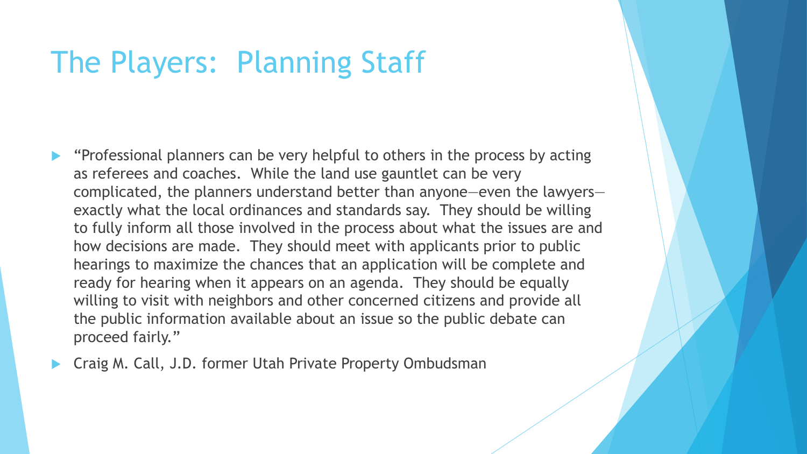### The Players: Planning Staff

- "Professional planners can be very helpful to others in the process by acting as referees and coaches. While the land use gauntlet can be very complicated, the planners understand better than anyone—even the lawyers exactly what the local ordinances and standards say. They should be willing to fully inform all those involved in the process about what the issues are and how decisions are made. They should meet with applicants prior to public hearings to maximize the chances that an application will be complete and ready for hearing when it appears on an agenda. They should be equally willing to visit with neighbors and other concerned citizens and provide all the public information available about an issue so the public debate can proceed fairly."
- Craig M. Call, J.D. former Utah Private Property Ombudsman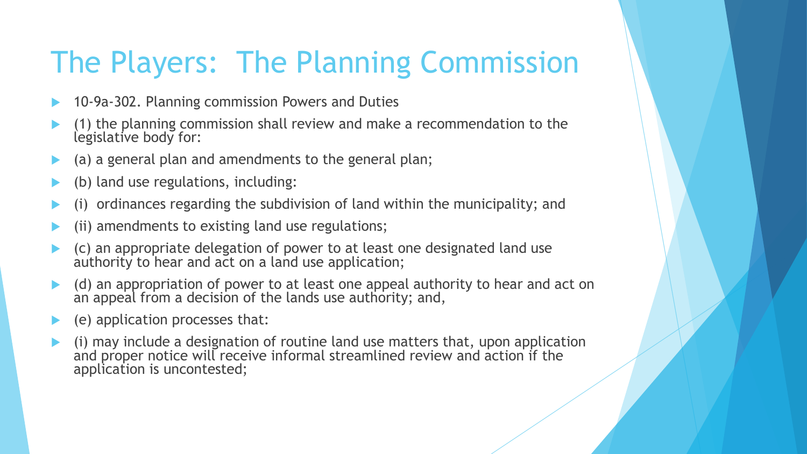# The Players: The Planning Commission

- 10-9a-302. Planning commission Powers and Duties
- (1) the planning commission shall review and make a recommendation to the legislative body for:
- (a) a general plan and amendments to the general plan;
- (b) land use regulations, including:
- (i) ordinances regarding the subdivision of land within the municipality; and
- (ii) amendments to existing land use regulations;
- (c) an appropriate delegation of power to at least one designated land use authority to hear and act on a land use application;
- (d) an appropriation of power to at least one appeal authority to hear and act on an appeal from a decision of the lands use authority; and,
- (e) application processes that:
- (i) may include a designation of routine land use matters that, upon application and proper notice will receive informal streamlined review and action if the application is uncontested;